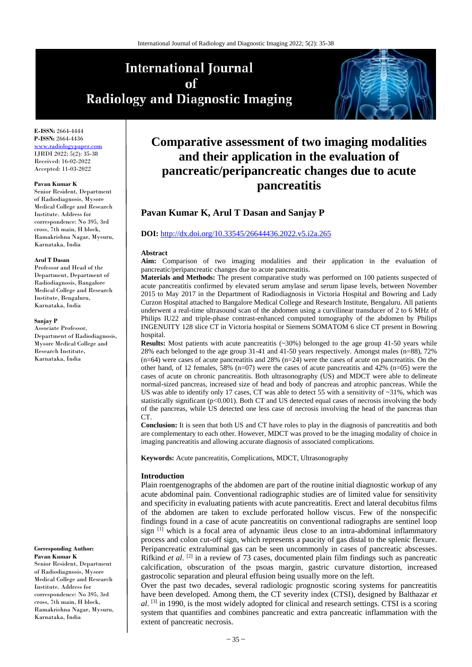# **International Journal** of **Radiology and Diagnostic Imaging**



**E-ISSN:** 2664-4444 **P-ISSN:** 2664-4436 ww.radiologypape IJRDI 2022; 5(2): 35-38 Received: 16-02-2022 Accepted: 11-03-2022

#### **Pavan Kumar K**

Senior Resident, Department of Radiodiagnosis, Mysore Medical College and Research Institute. Address for correspondence: No 395, 3rd cross, 7th main, H block, Ramakrishna Nagar, Mysuru, Karnataka, India

#### **Arul T Dasan**

Professor and Head of the Department, Department of Radiodiagnosis, Bangalore Medical College and Research Institute, Bengaluru, Karnataka, India

#### **Sanjay P**

Associate Professor, Department of Radiodiagnosis, Mysore Medical College and Research Institute, Karnataka, India

#### **Corresponding Author: Pavan Kumar K**

Senior Resident, Department of Radiodiagnosis, Mysore Medical College and Research Institute. Address for correspondence: No 395, 3rd cross, 7th main, H block, Ramakrishna Nagar, Mysuru, Karnataka, India

## **Comparative assessment of two imaging modalities and their application in the evaluation of pancreatic/peripancreatic changes due to acute pancreatitis**

## **Pavan Kumar K, Arul T Dasan and Sanjay P**

#### **DOI:** <http://dx.doi.org/10.33545/26644436.2022.v5.i2a.265>

#### **Abstract**

**Aim:** Comparison of two imaging modalities and their application in the evaluation of pancreatic/peripancreatic changes due to acute pancreatitis.

**Materials and Methods:** The present comparative study was performed on 100 patients suspected of acute pancreatitis confirmed by elevated serum amylase and serum lipase levels, between November 2015 to May 2017 in the Department of Radiodiagnosis in Victoria Hospital and Bowring and Lady Curzon Hospital attached to Bangalore Medical College and Research Institute, Bengaluru. All patients underwent a real-time ultrasound scan of the abdomen using a curvilinear transducer of 2 to 6 MHz of Philips IU22 and triple-phase contrast-enhanced computed tomography of the abdomen by Philips INGENUITY 128 slice CT in Victoria hospital or Siemens SOMATOM 6 slice CT present in Bowring hospital.

**Results:** Most patients with acute pancreatitis (~30%) belonged to the age group 41-50 years while 28% each belonged to the age group 31-41 and 41-50 years respectively. Amongst males (n=88), 72% (n=64) were cases of acute pancreatitis and 28% (n=24) were the cases of acute on pancreatitis. On the other hand, of 12 females, 58% (n=07) were the cases of acute pancreatitis and 42% (n=05) were the cases of acute on chronic pancreatitis. Both ultrasonography (US) and MDCT were able to delineate normal-sized pancreas, increased size of head and body of pancreas and atrophic pancreas. While the US was able to identify only 17 cases, CT was able to detect 55 with a sensitivity of  $\sim$ 31%, which was statistically significant (p<0.001). Both CT and US detected equal cases of necrosis involving the body of the pancreas, while US detected one less case of necrosis involving the head of the pancreas than  $CT$ 

**Conclusion:** It is seen that both US and CT have roles to play in the diagnosis of pancreatitis and both are complementary to each other. However, MDCT was proved to be the imaging modality of choice in imaging pancreatitis and allowing accurate diagnosis of associated complications.

**Keywords:** Acute pancreatitis, Complications, MDCT, Ultrasonography

#### **Introduction**

Plain roentgenographs of the abdomen are part of the routine initial diagnostic workup of any acute abdominal pain. Conventional radiographic studies are of limited value for sensitivity and specificity in evaluating patients with acute pancreatitis. Erect and lateral decubitus films of the abdomen are taken to exclude perforated hollow viscus. Few of the nonspecific findings found in a case of acute pancreatitis on conventional radiographs are sentinel loop sign [1] which is a focal area of adynamic ileus close to an intra-abdominal inflammatory process and colon cut-off sign, which represents a paucity of gas distal to the splenic flexure. Peripancreatic extraluminal gas can be seen uncommonly in cases of pancreatic abscesses. Rifkind *et al*. [2] in a review of 73 cases, documented plain film findings such as pancreatic calcification, obscuration of the psoas margin, gastric curvature distortion, increased gastrocolic separation and pleural effusion being usually more on the left.

Over the past two decades, several radiologic prognostic scoring systems for pancreatitis have been developed. Among them, the CT severity index (CTSI), designed by Balthazar *et al*. <sup>[3]</sup> in 1990, is the most widely adopted for clinical and research settings. CTSI is a scoring system that quantifies and combines pancreatic and extra pancreatic inflammation with the extent of pancreatic necrosis.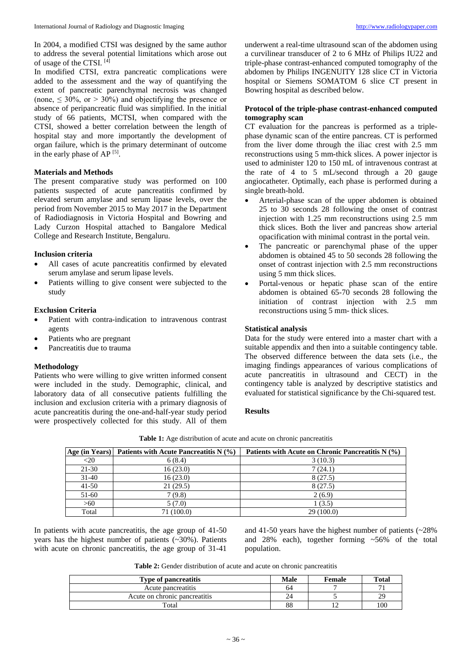In 2004, a modified CTSI was designed by the same author to address the several potential limitations which arose out of usage of the CTSI. [4]

In modified CTSI, extra pancreatic complications were added to the assessment and the way of quantifying the extent of pancreatic parenchymal necrosis was changed (none,  $\leq 30\%$ , or  $> 30\%$ ) and objectifying the presence or absence of peripancreatic fluid was simplified. In the initial study of 66 patients, MCTSI, when compared with the CTSI, showed a better correlation between the length of hospital stay and more importantly the development of organ failure, which is the primary determinant of outcome in the early phase of AP [5].

### **Materials and Methods**

The present comparative study was performed on 100 patients suspected of acute pancreatitis confirmed by elevated serum amylase and serum lipase levels, over the period from November 2015 to May 2017 in the Department of Radiodiagnosis in Victoria Hospital and Bowring and Lady Curzon Hospital attached to Bangalore Medical College and Research Institute, Bengaluru.

## **Inclusion criteria**

- All cases of acute pancreatitis confirmed by elevated serum amylase and serum lipase levels.
- Patients willing to give consent were subjected to the study

### **Exclusion Criteria**

- Patient with contra-indication to intravenous contrast agents
- Patients who are pregnant
- Pancreatitis due to trauma

#### **Methodology**

Patients who were willing to give written informed consent were included in the study. Demographic, clinical, and laboratory data of all consecutive patients fulfilling the inclusion and exclusion criteria with a primary diagnosis of acute pancreatitis during the one-and-half-year study period were prospectively collected for this study. All of them

underwent a real-time ultrasound scan of the abdomen using a curvilinear transducer of 2 to 6 MHz of Philips IU22 and triple-phase contrast-enhanced computed tomography of the abdomen by Philips INGENUITY 128 slice CT in Victoria hospital or Siemens SOMATOM 6 slice CT present in Bowring hospital as described below.

## **Protocol of the triple-phase contrast-enhanced computed tomography scan**

CT evaluation for the pancreas is performed as a triplephase dynamic scan of the entire pancreas. CT is performed from the liver dome through the iliac crest with 2.5 mm reconstructions using 5 mm-thick slices. A power injector is used to administer 120 to 150 mL of intravenous contrast at the rate of 4 to 5 mL/second through a 20 gauge angiocatheter. Optimally, each phase is performed during a single breath-hold.

- Arterial-phase scan of the upper abdomen is obtained 25 to 30 seconds 28 following the onset of contrast injection with 1.25 mm reconstructions using 2.5 mm thick slices. Both the liver and pancreas show arterial opacification with minimal contrast in the portal vein.
- The pancreatic or parenchymal phase of the upper abdomen is obtained 45 to 50 seconds 28 following the onset of contrast injection with 2.5 mm reconstructions using 5 mm thick slices.
- Portal-venous or hepatic phase scan of the entire abdomen is obtained 65-70 seconds 28 following the initiation of contrast injection with 2.5 mm reconstructions using 5 mm- thick slices.

#### **Statistical analysis**

Data for the study were entered into a master chart with a suitable appendix and then into a suitable contingency table. The observed difference between the data sets (i.e., the imaging findings appearances of various complications of acute pancreatitis in ultrasound and CECT) in the contingency table is analyzed by descriptive statistics and evaluated for statistical significance by the Chi-squared test.

#### **Results**

|           | Age (in Years)   Patients with Acute Pancreatitis $N$ (%) | Patients with Acute on Chronic Pancreatitis N (%) |
|-----------|-----------------------------------------------------------|---------------------------------------------------|
| $<$ 20    | 6(8.4)                                                    | 3(10.3)                                           |
| 21-30     | 16(23.0)                                                  | 7(24.1)                                           |
| $31-40$   | 16(23.0)                                                  | 8 (27.5)                                          |
| $41 - 50$ | 21(29.5)                                                  | 8(27.5)                                           |
| 51-60     | 7(9.8)                                                    | 2(6.9)                                            |

 $>60$  1 (3.5) Total 71 (100.0) 29 (100.0)

**Table 1:** Age distribution of acute and acute on chronic pancreatitis

In patients with acute pancreatitis, the age group of 41-50 years has the highest number of patients (~30%). Patients with acute on chronic pancreatitis, the age group of 31-41

and 41-50 years have the highest number of patients (~28% and 28% each), together forming ~56% of the total population.

**Table 2:** Gender distribution of acute and acute on chronic pancreatitis

| <b>Type of pancreatitis</b>   | Male | <b>Female</b> | <b>Total</b> |
|-------------------------------|------|---------------|--------------|
| Acute pancreatitis            | b4   |               |              |
| Acute on chronic pancreatitis | 24   |               | 29           |
| $_{\rm Total}$                | 88   |               | 100          |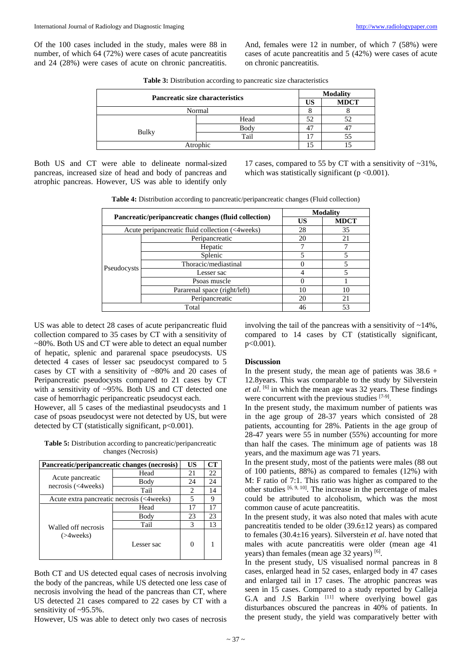Of the 100 cases included in the study, males were 88 in number, of which 64 (72%) were cases of acute pancreatitis and 24 (28%) were cases of acute on chronic pancreatitis.

And, females were 12 in number, of which 7 (58%) were cases of acute pancreatitis and 5 (42%) were cases of acute on chronic pancreatitis.

| <b>Table 3:</b> Distribution according to pancreatic size characteristics |  |  |  |
|---------------------------------------------------------------------------|--|--|--|
|---------------------------------------------------------------------------|--|--|--|

|              | <b>Pancreatic size characteristics</b> |    | <b>Modality</b> |  |
|--------------|----------------------------------------|----|-----------------|--|
|              |                                        | US | <b>MDCT</b>     |  |
| Normal       |                                        |    |                 |  |
|              | Head                                   | 52 | 52              |  |
| <b>Bulky</b> | Body                                   |    |                 |  |
|              | Tail                                   | Ξ  | 55              |  |
| Atrophic     |                                        |    |                 |  |

Both US and CT were able to delineate normal-sized pancreas, increased size of head and body of pancreas and atrophic pancreas. However, US was able to identify only

17 cases, compared to 55 by CT with a sensitivity of ~31%, which was statistically significant  $(p < 0.001)$ .

**Table 4:** Distribution according to pancreatic/peripancreatic changes (Fluid collection)

| Pancreatic/peripancreatic changes (fluid collection) |                              | <b>Modality</b> |             |
|------------------------------------------------------|------------------------------|-----------------|-------------|
|                                                      |                              | US              | <b>MDCT</b> |
| Acute peripancreatic fluid collection (<4weeks)      |                              | 28              | 35          |
| Pseudocysts                                          | Peripancreatic               | 20              | 21          |
|                                                      | Hepatic                      |                 |             |
|                                                      | Splenic                      |                 |             |
|                                                      | Thoracic/mediastinal         |                 |             |
|                                                      | Lesser sac                   |                 |             |
|                                                      | Psoas muscle                 |                 |             |
|                                                      | Pararenal space (right/left) | 10              | 10          |
|                                                      | Peripancreatic               | 20              | 21          |
| Total                                                |                              | 46              | 53          |

US was able to detect 28 cases of acute peripancreatic fluid collection compared to 35 cases by CT with a sensitivity of ~80%. Both US and CT were able to detect an equal number of hepatic, splenic and pararenal space pseudocysts. US detected 4 cases of lesser sac pseudocyst compared to 5 cases by CT with a sensitivity of ~80% and 20 cases of Peripancreatic pseudocysts compared to 21 cases by CT with a sensitivity of ~95%. Both US and CT detected one case of hemorrhagic peripancreatic pseudocyst each.

However, all 5 cases of the mediastinal pseudocysts and 1 case of psoas pseudocyst were not detected by US, but were detected by CT (statistically significant,  $p<0.001$ ).

**Table 5:** Distribution according to pancreatic/peripancreatic changes (Necrosis)

| Pancreatic/peripancreatic changes (necrosis) |            | US | CT |
|----------------------------------------------|------------|----|----|
|                                              | Head       | 21 | 22 |
| Acute pancreatic<br>$necrosis$ (<4weeks)     | Body       | 24 | 24 |
|                                              | Tail       | 2  | 14 |
| Acute extra pancreatic necrosis (<4weeks)    |            |    | Q  |
|                                              | Head       | 17 | 17 |
|                                              | Body       | 23 | 23 |
| Walled off necrosis                          | Tail       | 3  | 13 |
| $( > 4$ weeks $)$                            | Lesser sac | 0  |    |

Both CT and US detected equal cases of necrosis involving the body of the pancreas, while US detected one less case of necrosis involving the head of the pancreas than CT, where US detected 21 cases compared to 22 cases by CT with a sensitivity of ~95.5%.

However, US was able to detect only two cases of necrosis

involving the tail of the pancreas with a sensitivity of  $\sim$ 14%, compared to 14 cases by CT (statistically significant, p<0.001).

#### **Discussion**

In the present study, the mean age of patients was  $38.6 +$ 12.8years. This was comparable to the study by Silverstein *et al*. [6] in which the mean age was 32 years. These findings were concurrent with the previous studies [7-9].

In the present study, the maximum number of patients was in the age group of 28-37 years which consisted of 28 patients, accounting for 28%. Patients in the age group of 28-47 years were 55 in number (55%) accounting for more than half the cases. The minimum age of patients was 18 years, and the maximum age was 71 years.

In the present study, most of the patients were males (88 out of 100 patients, 88%) as compared to females (12%) with M: F ratio of 7:1. This ratio was higher as compared to the other studies [6, 9, 10] . The increase in the percentage of males could be attributed to alcoholism, which was the most common cause of acute pancreatitis.

In the present study, it was also noted that males with acute pancreatitis tended to be older (39.6±12 years) as compared to females (30.4±16 years). Silverstein *et al*. have noted that males with acute pancreatitis were older (mean age 41 years) than females (mean age 32 years) [6].

In the present study, US visualised normal pancreas in 8 cases, enlarged head in 52 cases, enlarged body in 47 cases and enlarged tail in 17 cases. The atrophic pancreas was seen in 15 cases. Compared to a study reported by Calleja G.A and J.S Barkin [11] where overlying bowel gas disturbances obscured the pancreas in 40% of patients. In the present study, the yield was comparatively better with